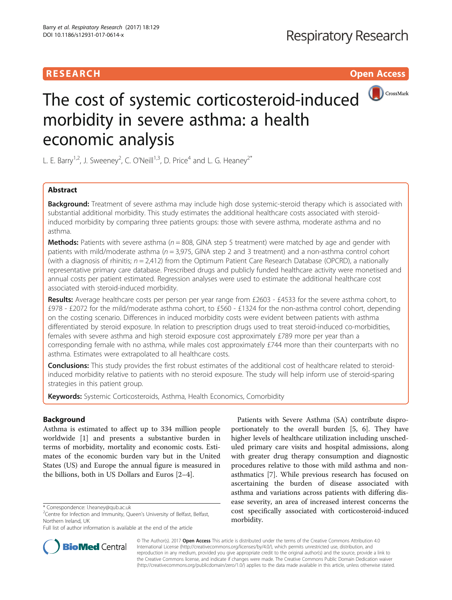# **RESEARCH CHE Open Access**



# The cost of systemic corticosteroid-induced morbidity in severe asthma: a health economic analysis

L. E. Barry<sup>1,2</sup>, J. Sweeney<sup>2</sup>, C. O'Neill<sup>1,3</sup>, D. Price<sup>4</sup> and L. G. Heaney<sup>2\*</sup>

# Abstract

Background: Treatment of severe asthma may include high dose systemic-steroid therapy which is associated with substantial additional morbidity. This study estimates the additional healthcare costs associated with steroidinduced morbidity by comparing three patients groups: those with severe asthma, moderate asthma and no asthma.

**Methods:** Patients with severe asthma ( $n = 808$ , GINA step 5 treatment) were matched by age and gender with patients with mild/moderate asthma ( $n = 3,975$ , GINA step 2 and 3 treatment) and a non-asthma control cohort (with a diagnosis of rhinitis;  $n = 2,412$ ) from the Optimum Patient Care Research Database (OPCRD), a nationally representative primary care database. Prescribed drugs and publicly funded healthcare activity were monetised and annual costs per patient estimated. Regression analyses were used to estimate the additional healthcare cost associated with steroid-induced morbidity.

Results: Average healthcare costs per person per year range from £2603 - £4533 for the severe asthma cohort, to £978 - £2072 for the mild/moderate asthma cohort, to £560 - £1324 for the non-asthma control cohort, depending on the costing scenario. Differences in induced morbidity costs were evident between patients with asthma differentiated by steroid exposure. In relation to prescription drugs used to treat steroid-induced co-morbidities, females with severe asthma and high steroid exposure cost approximately £789 more per year than a corresponding female with no asthma, while males cost approximately £744 more than their counterparts with no asthma. Estimates were extrapolated to all healthcare costs.

Conclusions: This study provides the first robust estimates of the additional cost of healthcare related to steroidinduced morbidity relative to patients with no steroid exposure. The study will help inform use of steroid-sparing strategies in this patient group.

Keywords: Systemic Corticosteroids, Asthma, Health Economics, Comorbidity

# Background

Asthma is estimated to affect up to 334 million people worldwide [[1](#page-6-0)] and presents a substantive burden in terms of morbidity, mortality and economic costs. Estimates of the economic burden vary but in the United States (US) and Europe the annual figure is measured in the billions, both in US Dollars and Euros [[2](#page-6-0)–[4\]](#page-6-0).

Patients with Severe Asthma (SA) contribute disproportionately to the overall burden [\[5](#page-6-0), [6](#page-6-0)]. They have higher levels of healthcare utilization including unscheduled primary care visits and hospital admissions, along with greater drug therapy consumption and diagnostic procedures relative to those with mild asthma and nonasthmatics [\[7](#page-6-0)]. While previous research has focused on ascertaining the burden of disease associated with asthma and variations across patients with differing disease severity, an area of increased interest concerns the cost specifically associated with corticosteroid-induced morbidity.



© The Author(s). 2017 **Open Access** This article is distributed under the terms of the Creative Commons Attribution 4.0 International License [\(http://creativecommons.org/licenses/by/4.0/](http://creativecommons.org/licenses/by/4.0/)), which permits unrestricted use, distribution, and reproduction in any medium, provided you give appropriate credit to the original author(s) and the source, provide a link to the Creative Commons license, and indicate if changes were made. The Creative Commons Public Domain Dedication waiver [\(http://creativecommons.org/publicdomain/zero/1.0/](http://creativecommons.org/publicdomain/zero/1.0/)) applies to the data made available in this article, unless otherwise stated.

<sup>\*</sup> Correspondence: [l.heaney@qub.ac.uk](mailto:l.heaney@qub.ac.uk) <sup>2</sup>

<sup>&</sup>lt;sup>2</sup> Centre for Infection and Immunity, Queen's University of Belfast, Belfast, Northern Ireland, UK

Full list of author information is available at the end of the article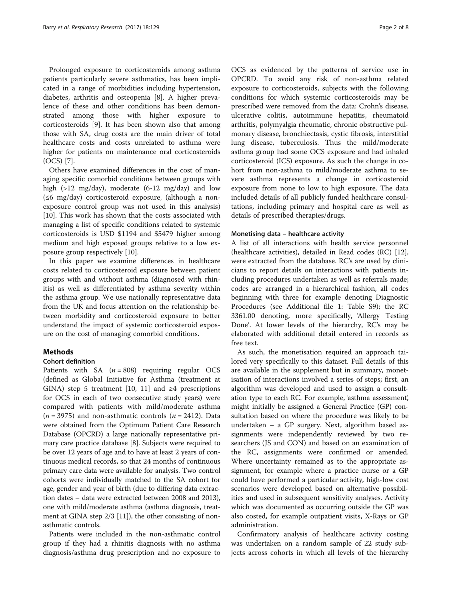Prolonged exposure to corticosteroids among asthma patients particularly severe asthmatics, has been implicated in a range of morbidities including hypertension, diabetes, arthritis and osteopenia [\[8](#page-6-0)]. A higher prevalence of these and other conditions has been demonstrated among those with higher exposure to corticosteroids [\[9](#page-6-0)]. It has been shown also that among those with SA, drug costs are the main driver of total healthcare costs and costs unrelated to asthma were higher for patients on maintenance oral corticosteroids (OCS) [\[7](#page-6-0)].

Others have examined differences in the cost of managing specific comorbid conditions between groups with high (>12 mg/day), moderate (6-12 mg/day) and low (≤6 mg/day) corticosteroid exposure, (although a nonexposure control group was not used in this analysis) [[10\]](#page-6-0). This work has shown that the costs associated with managing a list of specific conditions related to systemic corticosteroids is USD \$1194 and \$5479 higher among medium and high exposed groups relative to a low exposure group respectively [[10\]](#page-6-0).

In this paper we examine differences in healthcare costs related to corticosteroid exposure between patient groups with and without asthma (diagnosed with rhinitis) as well as differentiated by asthma severity within the asthma group. We use nationally representative data from the UK and focus attention on the relationship between morbidity and corticosteroid exposure to better understand the impact of systemic corticosteroid exposure on the cost of managing comorbid conditions.

## Methods

#### Cohort definition

Patients with SA  $(n = 808)$  requiring regular OCS (defined as Global Initiative for Asthma (treatment at GINA) step 5 treatment [\[10](#page-6-0), [11\]](#page-6-0) and  $\geq 4$  prescriptions for OCS in each of two consecutive study years) were compared with patients with mild/moderate asthma  $(n = 3975)$  and non-asthmatic controls  $(n = 2412)$ . Data were obtained from the Optimum Patient Care Research Database (OPCRD) a large nationally representative primary care practice database [\[8](#page-6-0)]. Subjects were required to be over 12 years of age and to have at least 2 years of continuous medical records, so that 24 months of continuous primary care data were available for analysis. Two control cohorts were individually matched to the SA cohort for age, gender and year of birth (due to differing data extraction dates – data were extracted between 2008 and 2013), one with mild/moderate asthma (asthma diagnosis, treatment at GINA step 2/3 [[11\]](#page-6-0)), the other consisting of nonasthmatic controls.

Patients were included in the non-asthmatic control group if they had a rhinitis diagnosis with no asthma diagnosis/asthma drug prescription and no exposure to

OCS as evidenced by the patterns of service use in OPCRD. To avoid any risk of non-asthma related exposure to corticosteroids, subjects with the following conditions for which systemic corticosteroids may be prescribed were removed from the data: Crohn's disease, ulcerative colitis, autoimmune hepatitis, rheumatoid arthritis, polymyalgia rheumatic, chronic obstructive pulmonary disease, bronchiectasis, cystic fibrosis, interstitial lung disease, tuberculosis. Thus the mild/moderate asthma group had some OCS exposure and had inhaled corticosteroid (ICS) exposure. As such the change in cohort from non-asthma to mild/moderate asthma to severe asthma represents a change in corticosteroid exposure from none to low to high exposure. The data included details of all publicly funded healthcare consultations, including primary and hospital care as well as details of prescribed therapies/drugs.

## Monetising data – healthcare activity

A list of all interactions with health service personnel (healthcare activities), detailed in Read codes (RC) [\[12](#page-7-0)], were extracted from the database. RC's are used by clinicians to report details on interactions with patients including procedures undertaken as well as referrals made; codes are arranged in a hierarchical fashion, all codes beginning with three for example denoting Diagnostic Procedures (see Additional file [1:](#page-6-0) Table S9); the RC 3361.00 denoting, more specifically, 'Allergy Testing Done'. At lower levels of the hierarchy, RC's may be elaborated with additional detail entered in records as free text.

As such, the monetisation required an approach tailored very specifically to this dataset. Full details of this are available in the supplement but in summary, monetisation of interactions involved a series of steps; first, an algorithm was developed and used to assign a consultation type to each RC. For example, 'asthma assessment', might initially be assigned a General Practice (GP) consultation based on where the procedure was likely to be undertaken – a GP surgery. Next, algorithm based assignments were independently reviewed by two researchers (JS and CON) and based on an examination of the RC, assignments were confirmed or amended. Where uncertainty remained as to the appropriate assignment, for example where a practice nurse or a GP could have performed a particular activity, high-low cost scenarios were developed based on alternative possibilities and used in subsequent sensitivity analyses. Activity which was documented as occurring outside the GP was also costed, for example outpatient visits, X-Rays or GP administration.

Confirmatory analysis of healthcare activity costing was undertaken on a random sample of 22 study subjects across cohorts in which all levels of the hierarchy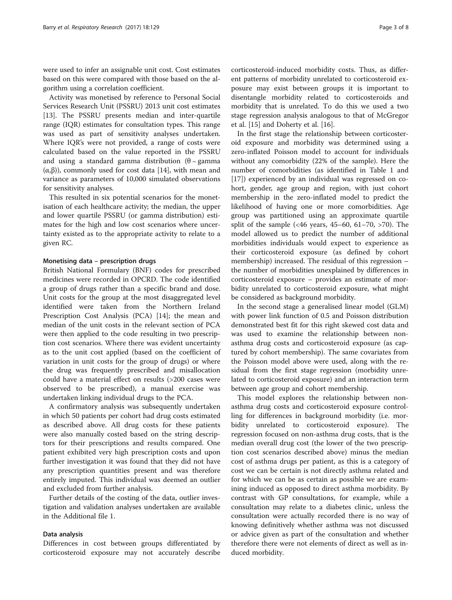were used to infer an assignable unit cost. Cost estimates based on this were compared with those based on the algorithm using a correlation coefficient.

Activity was monetised by reference to Personal Social Services Research Unit (PSSRU) 2013 unit cost estimates [[13\]](#page-7-0). The PSSRU presents median and inter-quartile range (IQR) estimates for consultation types. This range was used as part of sensitivity analyses undertaken. Where IQR's were not provided, a range of costs were calculated based on the value reported in the PSSRU and using a standard gamma distribution (θ ∼ gamma  $(\alpha,\beta)$ ), commonly used for cost data [\[14](#page-7-0)], with mean and variance as parameters of 10,000 simulated observations for sensitivity analyses.

This resulted in six potential scenarios for the monetisation of each healthcare activity; the median, the upper and lower quartile PSSRU (or gamma distribution) estimates for the high and low cost scenarios where uncertainty existed as to the appropriate activity to relate to a given RC.

#### Monetising data – prescription drugs

British National Formulary (BNF) codes for prescribed medicines were recorded in OPCRD. The code identified a group of drugs rather than a specific brand and dose. Unit costs for the group at the most disaggregated level identified were taken from the Northern Ireland Prescription Cost Analysis (PCA) [\[14\]](#page-7-0); the mean and median of the unit costs in the relevant section of PCA were then applied to the code resulting in two prescription cost scenarios. Where there was evident uncertainty as to the unit cost applied (based on the coefficient of variation in unit costs for the group of drugs) or where the drug was frequently prescribed and misallocation could have a material effect on results (>200 cases were observed to be prescribed), a manual exercise was undertaken linking individual drugs to the PCA.

A confirmatory analysis was subsequently undertaken in which 50 patients per cohort had drug costs estimated as described above. All drug costs for these patients were also manually costed based on the string descriptors for their prescriptions and results compared. One patient exhibited very high prescription costs and upon further investigation it was found that they did not have any prescription quantities present and was therefore entirely imputed. This individual was deemed an outlier and excluded from further analysis.

Further details of the costing of the data, outlier investigation and validation analyses undertaken are available in the Additional file [1.](#page-6-0)

### Data analysis

Differences in cost between groups differentiated by corticosteroid exposure may not accurately describe

corticosteroid-induced morbidity costs. Thus, as different patterns of morbidity unrelated to corticosteroid exposure may exist between groups it is important to disentangle morbidity related to corticosteroids and morbidity that is unrelated. To do this we used a two stage regression analysis analogous to that of McGregor et al. [\[15](#page-7-0)] and Doherty et al. [\[16\]](#page-7-0).

In the first stage the relationship between corticosteroid exposure and morbidity was determined using a zero-inflated Poisson model to account for individuals without any comorbidity (22% of the sample). Here the number of comorbidities (as identified in Table [1](#page-3-0) and [[17\]](#page-7-0)) experienced by an individual was regressed on cohort, gender, age group and region, with just cohort membership in the zero-inflated model to predict the likelihood of having one or more comorbidities. Age group was partitioned using an approximate quartile split of the sample  $($ <46 years, 45–60, 61–70, >70). The model allowed us to predict the number of additional morbidities individuals would expect to experience as their corticosteroid exposure (as defined by cohort membership) increased. The residual of this regression – the number of morbidities unexplained by differences in corticosteroid exposure – provides an estimate of morbidity unrelated to corticosteroid exposure, what might be considered as background morbidity.

In the second stage a generalised linear model (GLM) with power link function of 0.5 and Poisson distribution demonstrated best fit for this right skewed cost data and was used to examine the relationship between nonasthma drug costs and corticosteroid exposure (as captured by cohort membership). The same covariates from the Poisson model above were used, along with the residual from the first stage regression (morbidity unrelated to corticosteroid exposure) and an interaction term between age group and cohort membership.

This model explores the relationship between nonasthma drug costs and corticosteroid exposure controlling for differences in background morbidity (i.e. morbidity unrelated to corticosteroid exposure). The regression focused on non-asthma drug costs, that is the median overall drug cost (the lower of the two prescription cost scenarios described above) minus the median cost of asthma drugs per patient, as this is a category of cost we can be certain is not directly asthma related and for which we can be as certain as possible we are examining induced as opposed to direct asthma morbidity. By contrast with GP consultations, for example, while a consultation may relate to a diabetes clinic, unless the consultation were actually recorded there is no way of knowing definitively whether asthma was not discussed or advice given as part of the consultation and whether therefore there were not elements of direct as well as induced morbidity.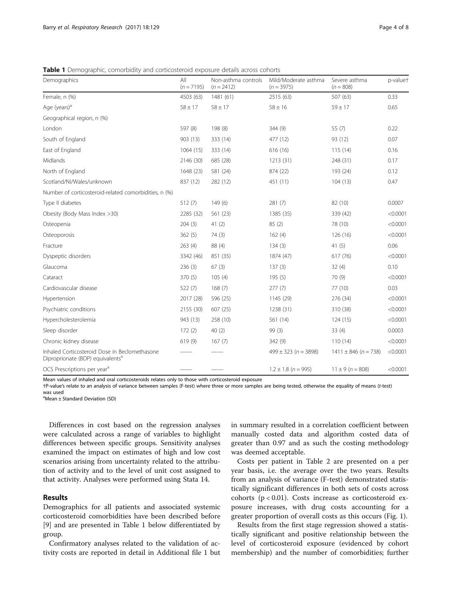<span id="page-3-0"></span>Table 1 Demographic, comorbidity and corticosteroid exposure details across cohorts

| Demographics                                                                                  | All<br>$(n = 7195)$ | Non-asthma controls<br>$(n = 2412)$ | Mild/Moderate asthma<br>$(n = 3975)$ | Severe asthma<br>$(n = 808)$ | p-valuet |
|-----------------------------------------------------------------------------------------------|---------------------|-------------------------------------|--------------------------------------|------------------------------|----------|
| Female, n (%)                                                                                 | 4503 (63)           | 1481 (61)                           | 2515 (63)                            | 507 (63)                     | 0.33     |
| Age (years) <sup>a</sup>                                                                      | $58 \pm 17$         | $58 \pm 17$                         | $58 \pm 16$                          | $59 \pm 17$                  | 0.65     |
| Geographical region, n (%)                                                                    |                     |                                     |                                      |                              |          |
| London                                                                                        | 597 (8)             | 198 (8)                             | 344(9)                               | 55 $(7)$                     | 0.22     |
| South of England                                                                              | 903 (13)            | 333 (14)                            | 477 (12)                             | 93 (12)                      | 0.07     |
| East of England                                                                               | 1064 (15)           | 333 (14)                            | 616 (16)                             | 115(14)                      | 0.16     |
| Midlands                                                                                      | 2146 (30)           | 685 (28)                            | 1213 (31)                            | 248 (31)                     | 0.17     |
| North of England                                                                              | 1648 (23)           | 581 (24)                            | 874 (22)                             | 193 (24)                     | 0.12     |
| Scotland/NI/Wales/unknown                                                                     | 837 (12)            | 282 (12)                            | 451 (11)                             | 104(13)                      | 0.47     |
| Number of corticosteroid-related comorbidities, n (%)                                         |                     |                                     |                                      |                              |          |
| Type II diabetes                                                                              | 512(7)              | 149(6)                              | 281(7)                               | 82 (10)                      | 0.0007   |
| Obesity (Body Mass Index >30)                                                                 | 2285 (32)           | 561 (23)                            | 1385 (35)                            | 339 (42)                     | < 0.0001 |
| Osteopenia                                                                                    | 204(3)              | 41(2)                               | 85(2)                                | 78 (10)                      | < 0.0001 |
| Osteoporosis                                                                                  | 362(5)              | 74 (3)                              | 162(4)                               | 126 (16)                     | < 0.0001 |
| Fracture                                                                                      | 263(4)              | 88 (4)                              | 134(3)                               | 41 $(5)$                     | 0.06     |
| Dyspeptic disorders                                                                           | 3342 (46)           | 851 (35)                            | 1874 (47)                            | 617 (76)                     | < 0.0001 |
| Glaucoma                                                                                      | 236(3)              | 67(3)                               | 137(3)                               | 32(4)                        | 0.10     |
| Cataract                                                                                      | 370(5)              | 105(4)                              | 195(5)                               | 70 (9)                       | < 0.0001 |
| Cardiovascular disease                                                                        | 522(7)              | 168(7)                              | 277(7)                               | 77 (10)                      | 0.03     |
| Hypertension                                                                                  | 2017 (28)           | 596 (25)                            | 1145 (29)                            | 276 (34)                     | < 0.0001 |
| Psychiatric conditions                                                                        | 2155 (30)           | 607 (25)                            | 1238 (31)                            | 310 (38)                     | < 0.0001 |
| Hypercholesterolemia                                                                          | 943 (13)            | 258 (10)                            | 561 (14)                             | 124(15)                      | < 0.0001 |
| Sleep disorder                                                                                | 172(2)              | 40(2)                               | 99(3)                                | 33(4)                        | 0.0003   |
| Chronic kidney disease                                                                        | 619(9)              | 167(7)                              | 342(9)                               | 110(14)                      | < 0.0001 |
| Inhaled Corticosteroid Dose in Beclomethasone<br>Diproprionate (BDP) equivalents <sup>a</sup> |                     |                                     | $499 \pm 323$ (n = 3898)             | $1411 \pm 846$ (n = 738)     | < 0.0001 |
| OCS Prescriptions per year <sup>a</sup>                                                       |                     |                                     | $1.2 \pm 1.8$ (n = 995)              | $11 \pm 9$ (n = 808)         | < 0.0001 |

Mean values of inhaled and oral corticosteroids relates only to those with corticosteroid exposure

†P-value's relate to an analysis of variance between samples (F-test) where three or more samples are being tested, otherwise the equality of means (t-test) was used

a Mean ± Standard Deviation (SD)

Differences in cost based on the regression analyses were calculated across a range of variables to highlight differences between specific groups. Sensitivity analyses examined the impact on estimates of high and low cost scenarios arising from uncertainty related to the attribution of activity and to the level of unit cost assigned to that activity. Analyses were performed using Stata 14.

## Results

Demographics for all patients and associated systemic corticosteroid comorbidities have been described before [[9\]](#page-6-0) and are presented in Table 1 below differentiated by group.

Confirmatory analyses related to the validation of activity costs are reported in detail in Additional file [1](#page-6-0) but in summary resulted in a correlation coefficient between manually costed data and algorithm costed data of greater than 0.97 and as such the costing methodology was deemed acceptable.

Costs per patient in Table [2](#page-4-0) are presented on a per year basis, i.e. the average over the two years. Results from an analysis of variance (F-test) demonstrated statistically significant differences in both sets of costs across cohorts  $(p < 0.01)$ . Costs increase as corticosteroid exposure increases, with drug costs accounting for a greater proportion of overall costs as this occurs (Fig. [1\)](#page-4-0).

Results from the first stage regression showed a statistically significant and positive relationship between the level of corticosteroid exposure (evidenced by cohort membership) and the number of comorbidities; further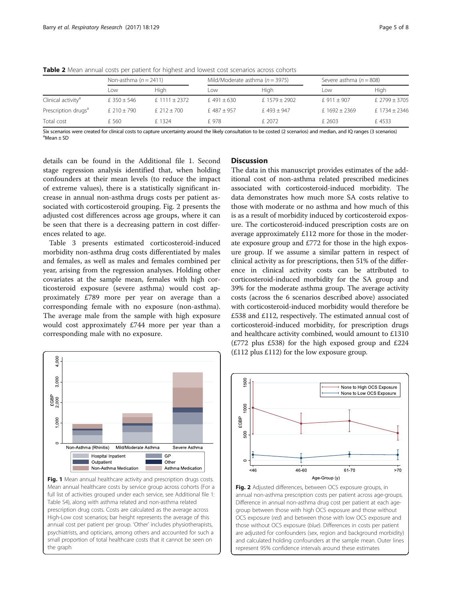|                                 |                 | Non-asthma $(n = 2411)$ |               | Mild/Moderate asthma ( $n = 3975$ ) |                 | Severe asthma $(n = 808)$ |  |
|---------------------------------|-----------------|-------------------------|---------------|-------------------------------------|-----------------|---------------------------|--|
|                                 | Low             | <b>High</b>             | Low           | High                                | Low             | High                      |  |
| Clinical activity <sup>a</sup>  | $f$ 350 + 546   | £ 1111 $\pm$ 2372       | $f 491 + 630$ | $f 1579 + 2902$                     | $f$ 911 + 907   | £ 2799 $\pm$ 3705         |  |
| Prescription drugs <sup>a</sup> | £ 210 $\pm$ 790 | $f$ 212 + 700           | £ 487 ± 957   | $f$ 493 + 947                       | $f 1692 + 2369$ | £ 1734 $\pm$ 2346         |  |
| Total cost                      | £ 560           | f 1324                  | f 978         | f 2072                              | £ 2603          | f 4533                    |  |

<span id="page-4-0"></span>Table 2 Mean annual costs per patient for highest and lowest cost scenarios across cohorts

Six scenarios were created for clinical costs to capture uncertainty around the likely consultation to be costed (2 scenarios) and median, and IQ ranges (3 scenarios) <sup>a</sup>  $a$ Mean  $\pm$  SD

details can be found in the Additional file [1.](#page-6-0) Second stage regression analysis identified that, when holding confounders at their mean levels (to reduce the impact of extreme values), there is a statistically significant increase in annual non-asthma drugs costs per patient associated with corticosteroid grouping. Fig. 2 presents the adjusted cost differences across age groups, where it can be seen that there is a decreasing pattern in cost differences related to age.

Table [3](#page-5-0) presents estimated corticosteroid-induced morbidity non-asthma drug costs differentiated by males and females, as well as males and females combined per year, arising from the regression analyses. Holding other covariates at the sample mean, females with high corticosteroid exposure (severe asthma) would cost approximately £789 more per year on average than a corresponding female with no exposure (non-asthma). The average male from the sample with high exposure would cost approximately £744 more per year than a corresponding male with no exposure.



Fig. 1 Mean annual healthcare activity and prescription drugs costs. Mean annual healthcare costs by service group across cohorts (For a full list of activities grouped under each service, see Additional file [1](#page-6-0): Table S4), along with asthma related and non-asthma related prescription drug costs. Costs are calculated as the average across High-Low cost scenarios; bar height represents the average of this annual cost per patient per group. 'Other' includes physiotherapists, psychiatrists, and opticians, among others and accounted for such a small proportion of total healthcare costs that it cannot be seen on the graph

# Discussion

The data in this manuscript provides estimates of the additional cost of non-asthma related prescribed medicines associated with corticosteroid-induced morbidity. The data demonstrates how much more SA costs relative to those with moderate or no asthma and how much of this is as a result of morbidity induced by corticosteroid exposure. The corticosteroid-induced prescription costs are on average approximately £112 more for those in the moderate exposure group and £772 for those in the high exposure group. If we assume a similar pattern in respect of clinical activity as for prescriptions, then 51% of the difference in clinical activity costs can be attributed to corticosteroid-induced morbidity for the SA group and 39% for the moderate asthma group. The average activity costs (across the 6 scenarios described above) associated with corticosteroid-induced morbidity would therefore be £538 and £112, respectively. The estimated annual cost of corticosteroid-induced morbidity, for prescription drugs and healthcare activity combined, would amount to £1310 (£772 plus £538) for the high exposed group and £224  $(£112$  plus £112) for the low exposure group.



Fig. 2 Adjusted differences, between OCS exposure groups, in annual non-asthma prescription costs per patient across age-groups. Difference in annual non-asthma drug cost per patient at each agegroup between those with high OCS exposure and those without OCS exposure (red) and between those with low OCS exposure and those without OCS exposure (blue). Differences in costs per patient are adjusted for confounders (sex, region and background morbidity) and calculated holding confounders at the sample mean. Outer lines represent 95% confidence intervals around these estimates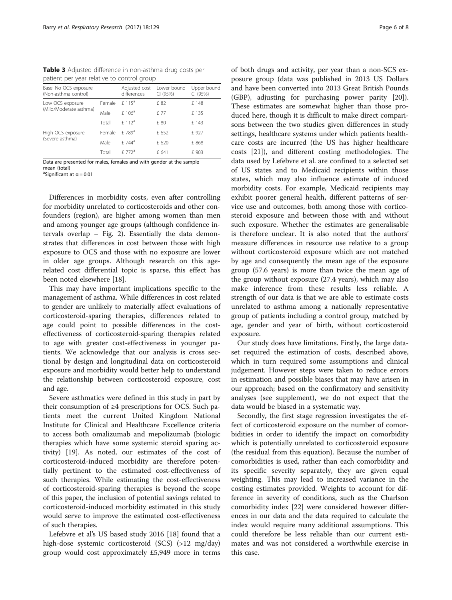<span id="page-5-0"></span>Table 3 Adjusted difference in non-asthma drug costs per patient per year relative to control group

| Base: No OCS exposure<br>(Non-asthma control) |        | Adjusted cost<br>differences | Lower bound<br>CI (95%) | Upper bound<br>CI (95%) |
|-----------------------------------------------|--------|------------------------------|-------------------------|-------------------------|
| Low OCS exposure<br>(Mild/Moderate asthma)    | Female | $f 115^a$                    | £ 82                    | £ 148                   |
|                                               | Male   | $f106^a$                     | f 77                    | £135                    |
|                                               | Total  | $f 112^a$                    | £ 80                    | f 143                   |
| High OCS exposure<br>(Severe asthma)          | Female | f 789 <sup>a</sup>           | f 652                   | f 927                   |
|                                               | Male   | $f$ 744 $a$                  | £ 620                   | £868                    |
|                                               | Total  | $f$ 772 $^a$                 | £ 641                   | £903                    |

Data are presented for males, females and with gender at the sample mean (total)

 $\mathrm{a}^{\mathrm{a}}$ Significant at  $\alpha = 0.01$ 

Differences in morbidity costs, even after controlling for morbidity unrelated to corticosteroids and other confounders (region), are higher among women than men and among younger age groups (although confidence intervals overlap – Fig. [2\)](#page-4-0). Essentially the data demonstrates that differences in cost between those with high exposure to OCS and those with no exposure are lower in older age groups. Although research on this agerelated cost differential topic is sparse, this effect has been noted elsewhere [\[18\]](#page-7-0).

This may have important implications specific to the management of asthma. While differences in cost related to gender are unlikely to materially affect evaluations of corticosteroid-sparing therapies, differences related to age could point to possible differences in the costeffectiveness of corticosteroid-sparing therapies related to age with greater cost-effectiveness in younger patients. We acknowledge that our analysis is cross sectional by design and longitudinal data on corticosteroid exposure and morbidity would better help to understand the relationship between corticosteroid exposure, cost and age.

Severe asthmatics were defined in this study in part by their consumption of ≥4 prescriptions for OCS. Such patients meet the current United Kingdom National Institute for Clinical and Healthcare Excellence criteria to access both omalizumab and mepolizumab (biologic therapies which have some systemic steroid sparing activity) [[19\]](#page-7-0). As noted, our estimates of the cost of corticosteroid-induced morbidity are therefore potentially pertinent to the estimated cost-effectiveness of such therapies. While estimating the cost-effectiveness of corticosteroid-sparing therapies is beyond the scope of this paper, the inclusion of potential savings related to corticosteroid-induced morbidity estimated in this study would serve to improve the estimated cost-effectiveness of such therapies.

Lefebvre et al's US based study 2016 [[18\]](#page-7-0) found that a high-dose systemic corticosteroid (SCS) (>12 mg/day) group would cost approximately £5,949 more in terms

of both drugs and activity, per year than a non-SCS exposure group (data was published in 2013 US Dollars and have been converted into 2013 Great British Pounds (GBP), adjusting for purchasing power parity [\[20](#page-7-0)]). These estimates are somewhat higher than those produced here, though it is difficult to make direct comparisons between the two studies given differences in study settings, healthcare systems under which patients healthcare costs are incurred (the US has higher healthcare costs [\[21\]](#page-7-0)), and different costing methodologies. The data used by Lefebvre et al. are confined to a selected set of US states and to Medicaid recipients within those states, which may also influence estimate of induced morbidity costs. For example, Medicaid recipients may exhibit poorer general health, different patterns of service use and outcomes, both among those with corticosteroid exposure and between those with and without such exposure. Whether the estimates are generalisable is therefore unclear. It is also noted that the authors' measure differences in resource use relative to a group without corticosteroid exposure which are not matched by age and consequently the mean age of the exposure group (57.6 years) is more than twice the mean age of the group without exposure (27.4 years), which may also make inference from these results less reliable. A strength of our data is that we are able to estimate costs unrelated to asthma among a nationally representative group of patients including a control group, matched by age, gender and year of birth, without corticosteroid exposure.

Our study does have limitations. Firstly, the large dataset required the estimation of costs, described above, which in turn required some assumptions and clinical judgement. However steps were taken to reduce errors in estimation and possible biases that may have arisen in our approach; based on the confirmatory and sensitivity analyses (see supplement), we do not expect that the data would be biased in a systematic way.

Secondly, the first stage regression investigates the effect of corticosteroid exposure on the number of comorbidities in order to identify the impact on comorbidity which is potentially unrelated to corticosteroid exposure (the residual from this equation). Because the number of comorbidities is used, rather than each comorbidity and its specific severity separately, they are given equal weighting. This may lead to increased variance in the costing estimates provided. Weights to account for difference in severity of conditions, such as the Charlson comorbidity index [\[22](#page-7-0)] were considered however differences in our data and the data required to calculate the index would require many additional assumptions. This could therefore be less reliable than our current estimates and was not considered a worthwhile exercise in this case.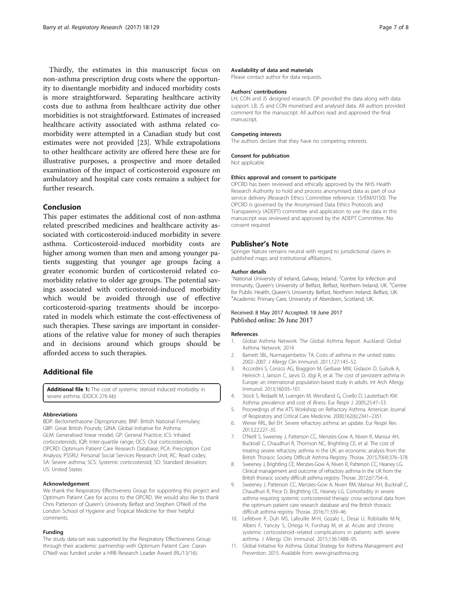<span id="page-6-0"></span>Thirdly, the estimates in this manuscript focus on non-asthma prescription drug costs where the opportunity to disentangle morbidity and induced morbidity costs is more straightforward. Separating healthcare activity costs due to asthma from healthcare activity due other morbidities is not straightforward. Estimates of increased healthcare activity associated with asthma related comorbidity were attempted in a Canadian study but cost estimates were not provided [\[23\]](#page-7-0). While extrapolations to other healthcare activity are offered here these are for illustrative purposes, a prospective and more detailed examination of the impact of corticosteroid exposure on ambulatory and hospital care costs remains a subject for further research.

## Conclusion

This paper estimates the additional cost of non-asthma related prescribed medicines and healthcare activity associated with corticosteroid-induced morbidity in severe asthma. Corticosteroid-induced morbidity costs are higher among women than men and among younger patients suggesting that younger age groups facing a greater economic burden of corticosteroid related comorbidity relative to older age groups. The potential savings associated with corticosteroid-induced morbidity which would be avoided through use of effective corticosteroid-sparing treatments should be incorporated in models which estimate the cost-effectiveness of such therapies. These savings are important in considerations of the relative value for money of such therapies and in decisions around which groups should be afforded access to such therapies.

## Additional file

[Additional file 1:](dx.doi.org/10.1186/s12931-017-0614-x) The cost of systemic steroid induced morbidity in severe asthma. (DOCX 276 kb)

#### Abbreviations

BDP: Beclomethasone Diproprionate; BNF: British National Formulary; GBP: Great British Pounds; GINA: Global Initiative for Asthma; GLM: Generalised linear model; GP: General Practice; ICS: Inhaled corticosteroids; IQR: Inter-quartile range; OCS: Oral corticosteroids; OPCRD: Optimum Patient Care Research Database; PCA: Prescription Cost Analysis; PSSRU: Personal Social Services Research Unit; RC: Read codes; SA: Severe asthma; SCS: Systemic corticosteroid; SD: Standard deviation; US: United States

### Acknowledgement

We thank the Respiratory Effectiveness Group for supporting this project and Optimum Patient Care for access to the OPCRD. We would also like to thank Chris Patterson of Queen's University Belfast and Stephen O'Neill of the London School of Hygiene and Tropical Medicine for their helpful comments.

### Funding

The study data-set was supported by the Respiratory Effectiveness Group through their academic partnership with Optimum Patient Care. Ciaran O'Neill was funded under a HRB Research Leader Award (RL/13/16).

#### Availability of data and materials

Please contact author for data requests.

#### Authors' contributions

LH, CON and JS designed research. DP provided the data along with data support. LB, JS and CON monetised and analysed data. All authors provided comment for the manuscript. All authors read and approved the final manuscript.

#### Competing interests

The authors declare that they have no competing interests.

#### Consent for publication

Not applicable

#### Ethics approval and consent to participate

OPCRD has been reviewed and ethically approved by the NHS Health Research Authority to hold and process anonymised data as part of our service delivery (Research Ethics Committee reference: 15/EM/0150). The OPCRD is governed by the Anonymised Data Ethics Protocols and Transparency (ADEPT) committee and application to use the data in this manuscript was reviewed and approved by the ADEPT Committee. No consent required

### Publisher's Note

Springer Nature remains neutral with regard to jurisdictional claims in published maps and institutional affiliations.

#### Author details

<sup>1</sup>National University of Ireland, Galway, Ireland. <sup>2</sup>Centre for Infection and Immunity, Queen's University of Belfast, Belfast, Northern Ireland, UK. <sup>3</sup>Centre for Public Health, Queen's University Belfast, Northern Ireland, Belfast, UK. <sup>4</sup> Academic Primary Care, University of Aberdeen, Scotland, UK.

## Received: 8 May 2017 Accepted: 18 June 2017 Published online: 26 June 2017

## References

- 1. Global Asthma Network: The Global Asthma Report. Auckland: Global Asthma Network; 2014.
- 2. Barnett SBL, Nurmagambetov TA. Costs of asthma in the united states: 2002–2007. J Allergy Clin Immunol. 2011;127:145–52.
- 3. Accordini S, Corsico AG, Braggion M, Gerbase MW, Gislason D, Gulsvik A, Heinrich J, Janson C, Jarvis D, Jõgi R, et al. The cost of persistent asthma in Europe: an international population-based study in adults. Int Arch Allergy Immunol. 2013;160:93–101.
- 4. Stock S, Redaelli M, Luengen M, Wendland G, Civello D, Lauterbach KW. Asthma: prevalence and cost of illness. Eur Respir J. 2005;25:47–53.
- 5. Proceedings of the ATS Workshop on Refractory Asthma. American Journal of Respiratory and Critical Care Medicine. 2000;162(6):2341–2351.
- 6. Wener RRL, Bel EH. Severe refractory asthma: an update. Eur Respir Rev. 2013;22:227–35.
- 7. O'Neill S, Sweeney J, Patterson CC, Menzies-Gow A, Niven R, Mansur AH, Bucknall C, Chaudhuri R, Thomson NC, Brightling CE, et al. The cost of treating severe refractory asthma in the UK: an economic analysis from the British Thoracic Society Difficult Asthma Registry. Thorax. 2015;70(4):376–378.
- 8. Sweeney J, Brightling CE, Menzies-Gow A, Niven R, Patterson CC, Heaney LG. Clinical management and outcome of refractory asthma in the UK from the British thoracic society difficult asthma registry. Thorax. 2012;67:754–6.
- 9. Sweeney J, Patterson CC, Menzies-Gow A, Niven RM, Mansur AH, Bucknall C, Chaudhuri R, Price D, Brightling CE, Heaney LG. Comorbidity in severe asthma requiring systemic corticosteroid therapy: cross-sectional data from the optimum patient care research database and the British thoracic difficult asthma registry. Thorax. 2016;71:339–46.
- 10. Lefebvre P, Duh MS, Lafeuille M-H, Gozalo L, Desai U, Robitaille M-N, Albers F, Yancey S, Ortega H, Forshag M, et al. Acute and chronic systemic corticosteroid–related complications in patients with severe asthma. J Allergy Clin Immunol. 2015;136:1488–95.
- 11. Global Initiative for Asthma. Global Strategy for Asthma Management and Prevention. 2015. Available from: [www.ginasthma.org](http://www.ginasthma.org).